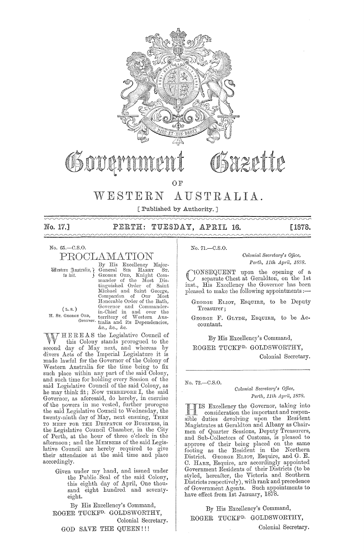

# Sazette OSTITE

OF

# WESTERN AUSTRALIA.

[Published by Authority.]

 $\sim$ 

No. 17.] PERTH: TUESDAY, APRIL 16. [1878.

No. G5.-C.S.0.

PROCLAMATION

(L. s.)

By His Excellency Major-Western Gustralia, General SIR HARRY ST.<br>to wit. ( GEORGE ORD, Knight Com-<br>mander of the Most Distinguished Order of Saint<br>Michael and Saint George, Companion of Our Most Honorable Order of the Bath, (L.S.) Governor and Commander-<br>
H. Sr. George Ord, territory of Western Aus-Governor tralia and its Dependencies, &e., &c., &c.

HER E A S the Legislative Council of this Colony stands prorogued to the second day of May ncxt, and whereas by divers Acts of the Imperial Legislature it is made lawful for the Governor of the Colony of vVestem Australia for the time being to fix such place within any part of the said Colony, and such time for holding every Session of the said Legislative Council of the said Colony, as he may think fit; Now THEREFORE I, the said Governor, as aforesaid, do hereby, in exercise of the powers in me vested, further prorogue the said Legislative Council to Wednesday, the twenty-ninth day of May, next ensuing, THEN TO MEET FOR THE DESPATCH OF BUSINESS, in the Legislative Council Chamber, in the City of Perth, at the hour of three o'clock in the afternoon; and the MEMBERS of the said Legislative Council are hereby required to give their attendance at the said time and place accordingly.

> Given under my hand, and issued under the Public Seal of the said Colony, this eighth day of April, One thousand eight hundred and seventyeight.

By His Excellency's Command, ROGER TUCKFD. GOLDSWORTHY, Colonial Secretary. GOD SAVE THE QUEEN!!!

No. 71.-C.S.O.

*Colonial Secretary's Office,* Perth, 11th April, 1878.

CONSEQUENT upon the opening of a separate Chest at Geraldton, on the 1st inst., His Excellency the Governor has been<br>pleased to make the following appointments :---

GEORGE ELIOT, ESQUIRE, to be Deputy Treasurer;

GEORGE F. GLYDE, ESQUIRE, to be Accountant.

By His Excellency's Command,

ROGER TUCKFD. GOLDSWORTHY,

Colonial Secretary.

*No.* 72.-0.S.0.

*Colonial Secretary's Office, Perth, 11th Ap"il, 1878.* 

IS Excellency the Governor, taking into consideration the important and responsible duties devolving upon the Resident Magistrates at Geraldton and Albany as Chairmen of Quarter Sessions, Deputy Treasurers, and Sub-Collectors of Customs, is pleased to approve of their being placed on the same footing as the Resident in the Northern District. GEORGE ELIOT, Esquire, and G. E. C. HARE, Esquire, are accordingly appointed Government Residents of their Districts (to be styled, hereafter, the Victoria and Southern Districts respectively), with rank and precedence of Government Agents. Such appointments to have effect from 1st January, *18/8.* 

 $By His Excellency's Command,$ ROGER TUCKED. GOLDSWORTHY,

Colonial Secretary.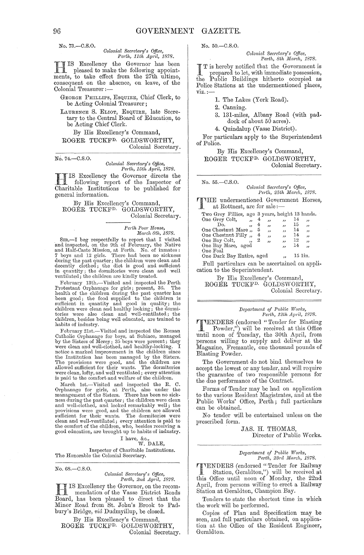No. 73.-C.S.O.

# *Colonial Secretary's Office,*<br>Perth, 11th April, 1878.

*Perth, 11th April, 1878.*<br>
IS Excellency the Governor has been **11 IS** Excellency the Governor has been<br>ments, to take effect from the 27th ultimo, pleased to make the following appointconsequent on the absence, on leave, of the Colonial Treasurer ;-

GEORGE PHILLIPS, ESQuIRE, Chief Clerk, to be Acting Colonial Treasurer;

LAURENCE S. ELIOT, ESQUIRE, late Secretary to the Central Board of Education, to be Acting Chief Clerk.

By His Excellency's Command, ROGER TUCKFD. GOLDSWORTHY, Colonial Secretary.

No. 74.-C.S.0.

# *Colonial Sem'eta,'Y's Office, Perth, 15th Ap"iL, 1878.*

IS Excellency the Governor directs the following report of the Inspector of Charitable Institutions to be published for general information.

By His Excellency's Command, ROGER TUCKFD. GOLDSWORTHY, Colonial Secretary.

> *Pcrth POD?' H01tse, Mao-ch 8th, 1878.*

SIR,—I beg respectfully to report that I visited<br>and inspected, on the 9th of February, the Native<br>and Half-Caste Mission, at Perth. No. of inmates:<br>7 boys and 12 girls. There had been no sickness<br>during the past quarter;

February 13th.—Visited and inspected the Perth<br>Protestant Orphanage for girls; present, 36. The<br>health of the children during the past quarter has<br>been good; the food supplied to the children is<br>sufficient in quantity and

February 21st.—Visited and inspected the Roman Catholic Orphanage for boys, at Subiaco, managed by the Sisters of Mercy; 35 boys were present; they were clean and well-clothed, and healthy-looking. I notice a marked improvement in the children since the Institution has been managed by the Sisters. The provisions were good, and the children are allowed sufficient for their wants. The dormitories were clean, lofty, and well ventilated; every attention is paid to the comfort and welfare of the children.

March 1st.—Visited and inspected the R. C.<br>Orphanage for girls, at Perth, also under the<br>management of the Sisters. There has been no sick-<br>ness during the past quarter; the children were clean<br>and well-clothed, and looked provisions were good, and the children are allowed<br>sufficient for their wants. The domitories were<br>clean and well-ventilated; every attention is paid to<br>the comfort of the children, who, besides receiving a<br>good education,

I have, &c., W. DALE, Inspector of Charitable Institutions.<br>The Honorable the Colonial Secretary.

No. 68.-C.S.0.

# *Colonial Secretary's Office,*<br>Perth, 2nd April, 1878.

 $\frac{H}{\text{H}}$  IS Excellency the Governor, on the recommendation of the Vasse District Roads<br>Board, has been pleased to direct that the Minor Road from St. John's Brook to Padbury's Bridge, *vid* Dudmyillup, be closed.

By His Excellency's Command ROGER TUCKFD. GOLDSWORTHY, Colonial Secretary. No. 50.-C.S.O.

*Colonial Secretary's Office,*<br>Perth, 8th March, 1878.

 $the$ T is hereby notified that the Government is prepared to let, with immediate possession, Public Buildings hitherto occupied as Police Stations at the undermentioned places, VIZ.;-

1. The Lakes (York Road).

2. Canning.

- 3. 131-miles, Albany Road (with paddock of about 50 acres).
- 4. Quindalup (Vasse District).

For particulars apply to the Superintendent of Police.

By His Excellency's Command, ROGER TUCKFD. GOLDSWORTHY,

Colonial Secretary.

No. 55.-C.S.0.

 $Colonial$  Secretary's Office, *Perth, 25th March, 1878.* 

THE undermentioned Government Horses, at Rottnest, are for sale ;-

| Two Grey Fillies, age 3 years, height 13 hands. |   |                         |                          |    |                         |
|-------------------------------------------------|---|-------------------------|--------------------------|----|-------------------------|
| One Grey Colt,<br>$\ddot{\phantom{a}}$          | 4 | $, \,$                  | ,,                       | 14 | ,                       |
| Do.<br>,,                                       | 4 | ,,                      | $\overline{\phantom{a}}$ | 15 | 33                      |
| One Chestnut Mare,                              | 5 | $\overline{\mathbf{1}}$ | $\overline{\phantom{a}}$ | 14 | دد                      |
| One Chestnut Filly,                             | 4 | دد                      | $\overline{\phantom{a}}$ | 14 | $\overline{\mathbf{z}}$ |
| One Bay Colt,                                   | 2 | دد                      | ,                        | 12 | 11                      |
| One Bay Mare, aged                              |   |                         | $\cdot$                  | 14 | ,,                      |
| One Foal                                        |   |                         |                          |    |                         |
| One Dark Bay Entire, aged                       |   |                         | $\ddot{\phantom{a}}$     |    | 15 lin.                 |

Full particulars can be ascertained on application to the Superintendent.

By His Excellency's Command, ROGER TUCKF<sup>D.</sup> GOLDSWORTHY, Colonial Secretary.

#### $Department of Public Works,$ *Perth, 12th April, 1878.*

**TTENDERS** (endorsed "Tender for Blasting<br>
Powder,") will be received at this Office<br>
putil peop of Tuesday, the 30th April, from until noon of Tuesday, the 30th April, from persons willing to supply and deliver at the Magazine, Fremantle, one thousand pounds of Blasting Powder.

The Government do not bind themselves to accept the lowest or any tender, and will require the guarantee of two responsible persons for the due performance of the Contract.

Forms of Tender may be had on application to the various Resident Magistrates, and at the Public Works' Office, Perth; full particulars can be obtained.

No tender will be entertained unless on the prescribed form.

> JAS. H. THOMAS, Director of Public Works.

# *Department of Public Works,*<br> *Perth, 23rd March, 1878.*

**TTENDERS** (endorsed "Tender for Railway<br>
Station, Geraldton,") will be received at<br>
this Office until poop of Monday, the 22nd this Office until noon of Monday, the 22nd April, from persons willing to erect a Railway Station at Geraldton, Champion Bay.

Tenders to state the shortest time in which the work will be performed.

Copies of Plan and Specification may be seen, and full particulars obtained, on application at the Office of the Resident Engineer, Geraldton.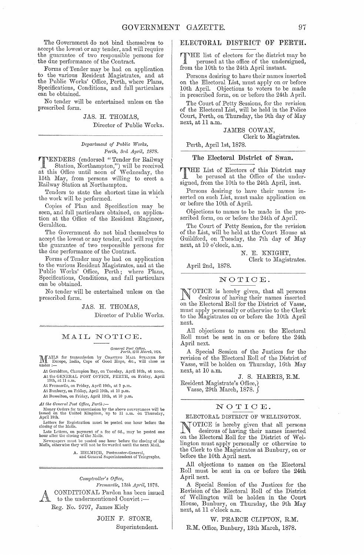The Government do not bind themselves to aeeept the lowest or any tender, and will require the guarantee of two responsible persons for the due performanee of the Oontract.

Forms of Tender may be had on application to the various Resident Magistrates, and at the Public Works' Office, Perth, where Plans, Specifications, Conditions, and full particulars can be obtained.

No tender will be entertained unless on the prescribed form.

> JAS. H. THOMAS, Director of Public Works.

 $Department of Public Works,$ *Pej·th, B)'d* Ap~'il, *1878.* 

**TTENDERS** (endorsed "Tender for Railway<br>Station, Northampton,") will be received<br>at this Office until near of Wednesday, the Station, Northampton,") will be received at this Office until noon of Wednesday, the 15th May, from persons willing to erect a Railway Station at Northampton.

Tenders to state the shortest time in which the work will be performed.

Oopies of Plan and Specification may be seen, and full particulars obtained, on application at the Office of the Resident Engineer, Geraldton.

The Government do not bind themselves to accept the lowest or any tender, and will require the guarantee of two responsible persons for the due performance of the Oontract.

Forms of Tender may be had on application to the various Resident Magistrates, and at the Public Works' Office, Perth; where Plans, Specifications, Oonditions, and full particulars can be obtained.

No tender will be entertained unless on the prescribed form.

JAS. H. THOMAS,

Director of Public Works.

#### MAIL NOTICE.

## *General Post OfJlce, Perth, '2ith* Jfai'clt, *18i8.*

MAILS for transmission by COASTING MAIL STEAMER for Europe, India, Cape of Good Hope, &c., will close as under :-

At Geraldton, Champion Bay, on Tuesday, April 16th, at noon.<br>At the GENERAL POST OFFICE, PERTH, on Friday, April<br>19th, at 11 a.m.

At Fremantle, on Friday, April 19th, at 2 p.m.

At Bunbury, on Friday, April 19th, at 10 p.m.

At Busselton, on Friday, April 19th, at 10 p.m.

*At the General Post Office, Perth:-*

Money Orders for transmission by the above conveyances will be issked on the United Kingdom, up to 11 a.m. on Thursday,<br>April 18th.

Letters for Registration must be posted one hour before the closing of the Mails.

Late Letters, on payment of a fee of 6d., may be posted one hour after the closing of the Mails.

Newspapers must be posted one hour before the closing of the Mails, otherwise they will not be forwarded until the next Mail.

A. HELMICH, Postmaster-General,<br>and General Superintendent of Telegraphs.

 $Computer's$  Office,

 $\mathbf{A}_{\mathbf{0}}$ *Frenwntle, 13th April, 1878.*  OONDITIONAL Pardon has been issued to the undermentioned Convict :-Reg. No. 9797, James Kiely

> JOHN F. STONE, Superintendent.

#### ELECTORAL DISTRICT OF PERTH.

THE list of electors for the district may be perused at the effect of  $\ddot{\cdot}$ perused at the office of the undersigned, from the 10th to the 24th April instant.

Persons desiring to have their names inserted on the Electoral List, must apply on or before 10th April. Objections to voters to be made in prescribed form, on or before the 24th April.

The Oourt of Petty Sessions, for the revision of the Electoral List, will be held in the Police Oourt, Perth, on Thursday, the 9th day of May next, at 11 a.m.

JAMES COWAN,

Olerk to Magistrates.

Perth, April 1st, 1878.

#### The Electoral District of Swan.

THE List of Electors of this District may<br>be perused at the Office of the under-<br>intersigned, from the lOth to the 24th April, inst.

Persons desiring to have their names inserted on such List, must make application on or before the 10th of April.

Objections to names to be made in the prescribed form, on or before the 24th of April.

The Oourt of Petty Session, for the revision of the List, will be held at the Oourt House at Guildford, on Tuesday, the 7th day of May next, at 10 o'clock, a.m.

> N. E. KNIGHT, Clerk to Magistrates.

April 2nd, 1878.

#### NOTIOE.

NOTIOE is hereby given, that all persons desirous of having their names inserted on the Electoral Roll for the District of Vasse, must apply personally or otherwise to the Olerk to the Magistrates on or before the 10th April next.

All objections to names on the Eleetoral Roll must be sent in on or before the 24th April next.

A Special Session of the Justices for the revision of the Electoral Roll of the District of Vasse, will be holden on Thursday, 16th May next, at 10 a.m.

J. S. HARRIS, R.M. Resident Magistrate's Office, Vasse, 29th March, 1878.

### NOTIOE.

#### ELECTORAL DISTRICT OF WELLINGTON.

NOTIOE is hereby given that all persons desirous of having their names inserted on the Electoral Roll for the District of Wellington must apply personally or otherwise to the Clerk to the Magistrates at Bunbury, on or before the lOth April next.

All objections to names on the Electoral Roll must be sent in on or before the 24th April next.

A Special Session of the Justices for the Revision of the Electoral Roll of the District of Wellington will be holden in the Oourt House, Bunbury, on Thursday, the 9th May next, at 11 o'clock a.m.

W. PEARCE CLIFTON, R.M. R.M. Office, Bunbury, 13th March, 1878.